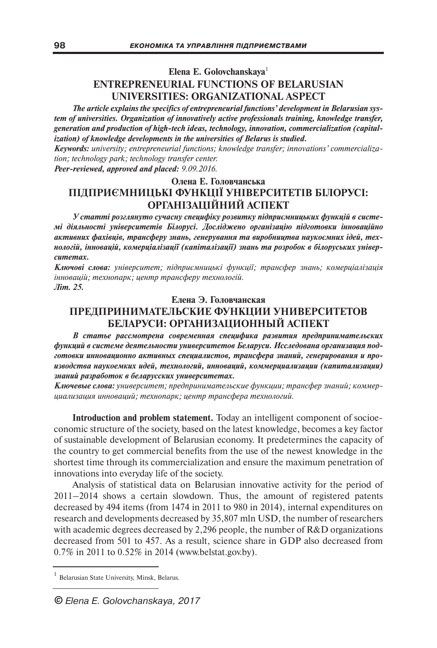## **Elena E. Golovchanskaya**<sup>1</sup> **ENTREPRENEURIAL FUNCTIONS OF BELARUSIAN UNIVERSITIES: ORGANIZATIONAL ASPECT**

*The article explains the specifics of entrepreneurial functions' development in Belarusian system of universities. Organization of innovatively active professionals training, knowledge transfer, generation and production of high-tech ideas, technology, innovation, commercialization (capitalization) of knowledge developments in the universities of Belarus is studied.*

*Keywords: university; entrepreneurial functions; knowledge transfer; innovations' commercialization; technology park; technology transfer center.*

*Peer-reviewed, approved and placed: 9.09.2016.*

## **Олена Е. Головчанська ПІДПРИЄМНИЦЬКІ ФУНКЦІЇ УНІВЕРСИТЕТІВ БІЛОРУСІ: ОРГАНІЗАЦІЙНИЙ АСПЕКТ**

*У статті розглянуто сучасну специфіку розвитку підприємницьких функцій в системі діяльності університетів Білорусі. Досліджено організацію підготовки інноваційно активних фахівців, трансферу знань, генерування та виробництва наукоємних ідей, технологій, інновацій, комерціалізації (капіталізації) знань та розробок в білоруських університетах.*

*Ключові слова: університет; підприємницькі функції; трансфер знань; комерціалізація інновацій; технопарк; центр трансферу технологій. Літ. 25.*

## **Елена Э. Головчанская ПРЕДПРИНИМАТЕЛЬСКИЕ ФУНКЦИИ УНИВЕРСИТЕТОВ БЕЛАРУСИ: ОРГАНИЗАЦИОННЫЙ АСПЕКТ**

*В статье рассмотрена современная специфика развития предпринимательских функций в системе деятельности университетов Беларуси. Исследована организация подготовки инновационно активных специалистов, трансфера знаний, генерирования и производства наукоемких идей, технологий, инноваций, коммерциализации (капитализации) знаний разработок в беларусских университетах.*

*Ключевые слова: университет; предпринимательские функции; трансфер знаний; коммерциализация инноваций; технопарк; центр трансфера технологий.*

**Introduction and problem statement.** Today an intelligent component of socioeconomic structure of the society, based on the latest knowledge, becomes a key factor of sustainable development of Belarusian economy. It predetermines the capacity of the country to get commercial benefits from the use of the newest knowledge in the shortest time through its commercialization and ensure the maximum penetration of innovations into everyday life of the society.

Analysis of statistical data on Belarusian innovative activity for the period of 2011–2014 shows a certain slowdown. Thus, the amount of registered patents decreased by 494 items (from 1474 in 2011 to 980 in 2014), internal expenditures on research and developments decreased by 35,807 mln USD, the number of researchers with academic degrees decreased by 2,296 people, the number of R&D organizations decreased from 501 to 457. As a result, science share in GDP also decreased from 0.7% in 2011 to 0.52% in 2014 (www.belstat.gov.by).

<sup>1</sup> Belarusian State University, Minsk, Belarus.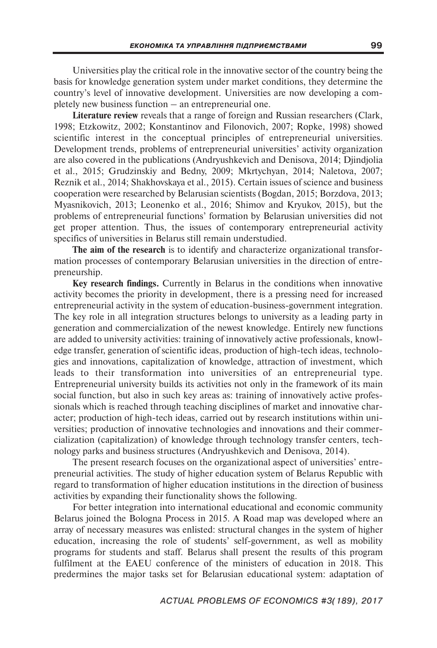Universities play the critical role in the innovative sector of the country being the basis for knowledge generation system under market conditions, they determine the country's level of innovative development. Universities are now developing a completely new business function – an entrepreneurial one.

**Literature review** reveals that a range of foreign and Russian researchers (Clark, 1998; Etzkowitz, 2002; Konstantinov and Filonovich, 2007; Ropke, 1998) showed scientific interest in the conceptual principles of entrepreneurial universities. Development trends, problems of entrepreneurial universities' activity organization are also covered in the publications (Andryushkevich and Denisova, 2014; Djindjolia et al., 2015; Grudzinskiy and Bedny, 2009; Mkrtychyan, 2014; Naletova, 2007; Reznik et al., 2014; Shakhovskaya et al., 2015). Certain issues of science and business cooperation were researched by Belarusian scientists (Bogdan, 2015; Borzdova, 2013; Myasnikovich, 2013; Leonenko et al., 2016; Shimov and Kryukov, 2015), but the problems of entrepreneurial functions' formation by Belarusian universities did not get proper attention. Thus, the issues of contemporary entrepreneurial activity specifics of universities in Belarus still remain understudied.

**The aim of the research** is to identify and characterize organizational transformation processes of contemporary Belarusian universities in the direction of entrepreneurship.

**Key research findings.** Currently in Belarus in the conditions when innovative activity becomes the priority in development, there is a pressing need for increased entrepreneurial activity in the system of education-business-government integration. The key role in all integration structures belongs to university as a leading party in generation and commercialization of the newest knowledge. Entirely new functions are added to university activities: training of innovatively active professionals, knowledge transfer, generation of scientific ideas, production of high-tech ideas, technologies and innovations, capitalization of knowledge, attraction of investment, which leads to their transformation into universities of an entrepreneurial type. Entrepreneurial university builds its activities not only in the framework of its main social function, but also in such key areas as: training of innovatively active professionals which is reached through teaching disciplines of market and innovative character; production of high-tech ideas, carried out by research institutions within universities; production of innovative technologies and innovations and their commercialization (capitalization) of knowledge through technology transfer centers, technology parks and business structures (Andryushkevich and Denisova, 2014).

The present research focuses on the organizational aspect of universities' entrepreneurial activities. The study of higher education system of Belarus Republic with regard to transformation of higher education institutions in the direction of business activities by expanding their functionality shows the following.

For better integration into international educational and economic community Belarus joined the Bologna Process in 2015. A Road map was developed where an array of necessary measures was enlisted: structural changes in the system of higher education, increasing the role of students' self-government, as well as mobility programs for students and staff. Belarus shall present the results of this program fulfilment at the EAEU conference of the ministers of education in 2018. This predermines the major tasks set for Belarusian educational system: adaptation of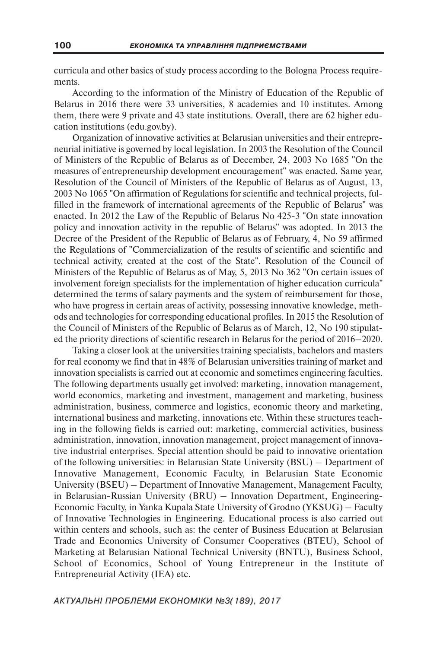curricula and other basics of study process according to the Bologna Process requirements.

According to the information of the Ministry of Education of the Republic of Belarus in 2016 there were 33 universities, 8 academies and 10 institutes. Among them, there were 9 private and 43 state institutions. Overall, there are 62 higher education institutions (edu.gov.by).

Organization of innovative activities at Belarusian universities and their entrepreneurial initiative is governed by local legislation. In 2003 the Resolution of the Council of Ministers of the Republic of Belarus as of December, 24, 2003 No 1685 "On the measures of entrepreneurship development encouragement" was enacted. Same year, Resolution of the Council of Ministers of the Republic of Belarus as of August, 13, 2003 No 1065 "On affirmation of Regulations for scientific and technical projects, fulfilled in the framework of international agreements of the Republic of Belarus" was enacted. In 2012 the Law of the Republic of Belarus No 425-3 "On state innovation policy and innovation activity in the republic of Belarus" was adopted. In 2013 the Decree of the President of the Republic of Belarus as of February, 4, No 59 affirmed the Regulations of "Commercialization of the results of scientific and scientific and technical activity, created at the cost of the State". Resolution of the Council of Ministers of the Republic of Belarus as of May, 5, 2013 No 362 "On certain issues of involvement foreign specialists for the implementation of higher education curricula" determined the terms of salary payments and the system of reimbursement for those, who have progress in certain areas of activity, possessing innovative knowledge, methods and technologies for corresponding educational profiles. In 2015 the Resolution of the Council of Ministers of the Republic of Belarus as of March, 12, No 190 stipulated the priority directions of scientific research in Belarus for the period of 2016–2020.

Taking a closer look at the universities training specialists, bachelors and masters for real economy we find that in 48% of Belarusian universities training of market and innovation specialists is carried out at economic and sometimes engineering faculties. The following departments usually get involved: marketing, innovation management, world economics, marketing and investment, management and marketing, business administration, business, commerce and logistics, economic theory and marketing, international business and marketing, innovations etc. Within these structures teaching in the following fields is carried out: marketing, commercial activities, business administration, innovation, innovation management, project management of innovative industrial enterprises. Special attention should be paid to innovative orientation of the following universities: in Belarusian State University (BSU) – Department of Innovative Management, Economic Faculty, in Belarusian State Economic University (BSEU) – Department of Innovative Management, Management Faculty, in Belarusian-Russian University (BRU) – Innovation Department, Engineering-Economic Faculty, in Yanka Kupala State University of Grodno (YKSUG) – Faculty of Innovative Technologies in Engineering. Educational process is also carried out within centers and schools, such as: the center of Business Education at Belarusian Trade and Economics University of Consumer Cooperatives (BTEU), School of Marketing at Belarusian National Technical University (BNTU), Business School, School of Economics, School of Young Entrepreneur in the Institute of Entrepreneurial Activity (IEA) etc.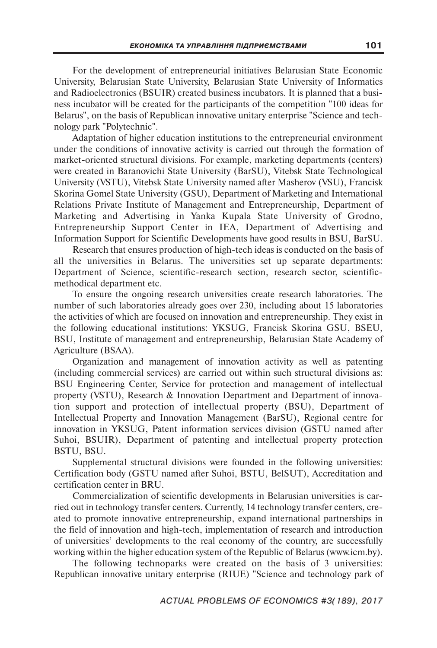For the development of entrepreneurial initiatives Belarusian State Economic University, Belarusian State University, Belarusian State University of Informatics and Radioelectronics (BSUIR) created business incubators. It is planned that a business incubator will be created for the participants of the competition "100 ideas for Belarus", on the basis of Republican innovative unitary enterprise "Science and technology park "Polytechnic".

Adaptation of higher education institutions to the entrepreneurial environment under the conditions of innovative activity is carried out through the formation of market-oriented structural divisions. For example, marketing departments (centers) were created in Baranovichi State University (BarSU), Vitebsk State Technological University (VSTU), Vitebsk State University named after Masherov (VSU), Francisk Skorina Gomel State University (GSU), Department of Marketing and International Relations Private Institute of Management and Entrepreneurship, Department of Marketing and Advertising in Yanka Kupala State University of Grodno, Entrepreneurship Support Center in IEA, Department of Advertising and Information Support for Scientific Developments have good results in BSU, BarSU.

Research that ensures production of high-tech ideas is conducted on the basis of all the universities in Belarus. The universities set up separate departments: Department of Science, scientific-research section, research sector, scientificmethodical department etc.

To ensure the ongoing research universities create research laboratories. The number of such laboratories already goes over 230, including about 15 laboratories the activities of which are focused on innovation and entrepreneurship. They exist in the following educational institutions: YKSUG, Francisk Skorina GSU, BSEU, BSU, Institute of management and entrepreneurship, Belarusian State Academy of Agriculture (BSAA).

Organization and management of innovation activity as well as patenting (including commercial services) are carried out within such structural divisions as: BSU Engineering Center, Service for protection and management of intellectual property (VSTU), Research & Innovation Department and Department of innovation support and protection of intellectual property (BSU), Department of Intellectual Property and Innovation Management (BarSU), Regional centre for innovation in YKSUG, Patent information services division (GSTU named after Suhoi, BSUIR), Department of patenting and intellectual property protection BSTU, BSU.

Supplemental structural divisions were founded in the following universities: Certification body (GSTU named after Suhoi, BSTU, BelSUT), Accreditation and certification center in BRU.

Commercialization of scientific developments in Belarusian universities is carried out in technology transfer centers. Currently, 14 technology transfer centers, created to promote innovative entrepreneurship, expand international partnerships in the field of innovation and high-tech, implementation of research and introduction of universities' developments to the real economy of the country, are successfully working within the higher education system of the Republic of Belarus (www.icm.by).

The following technoparks were created on the basis of 3 universities: Republican innovative unitary enterprise (RIUE) "Science and technology park of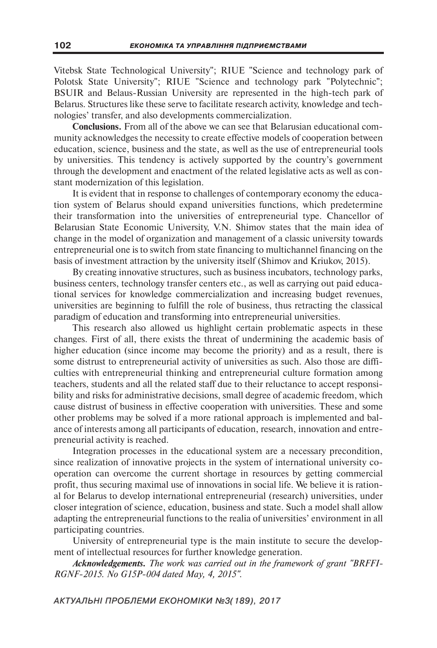Vitebsk State Technological University"; RIUE "Science and technology park of Polotsk State University"; RIUE "Science and technology park "Polytechnic"; BSUIR and Belaus-Russian University are represented in the high-tech park of Belarus. Structures like these serve to facilitate research activity, knowledge and technologies' transfer, and also developments commercialization.

**Conclusions.** From all of the above we can see that Belarusian educational community acknowledges the necessity to create effective models of cooperation between education, science, business and the state, as well as the use of entrepreneurial tools by universities. This tendency is actively supported by the country's government through the development and enactment of the related legislative acts as well as constant modernization of this legislation.

It is evident that in response to challenges of contemporary economy the education system of Belarus should expand universities functions, which predetermine their transformation into the universities of entrepreneurial type. Chancellor of Belarusian State Economic University, V.N. Shimov states that the main idea of change in the model of organization and management of a classic university towards entrepreneurial one is to switch from state financing to multichannel financing on the basis of investment attraction by the university itself (Shimov and Kriukov, 2015).

By creating innovative structures, such as business incubators, technology parks, business centers, technology transfer centers etc., as well as carrying out paid educational services for knowledge commercialization and increasing budget revenues, universities are beginning to fulfill the role of business, thus retracting the classical paradigm of education and transforming into entrepreneurial universities.

This research also allowed us highlight certain problematic aspects in these changes. First of all, there exists the threat of undermining the academic basis of higher education (since income may become the priority) and as a result, there is some distrust to entrepreneurial activity of universities as such. Also those are difficulties with entrepreneurial thinking and entrepreneurial culture formation among teachers, students and all the related staff due to their reluctance to accept responsibility and risks for administrative decisions, small degree of academic freedom, which cause distrust of business in effective cooperation with universities. These and some other problems may be solved if a more rational approach is implemented and balance of interests among all participants of education, research, innovation and entrepreneurial activity is reached.

Integration processes in the educational system are a necessary precondition, since realization of innovative projects in the system of international university cooperation can overcome the current shortage in resources by getting commercial profit, thus securing maximal use of innovations in social life. We believe it is rational for Belarus to develop international entrepreneurial (research) universities, under closer integration of science, education, business and state. Such a model shall allow adapting the entrepreneurial functions to the realia of universities' environment in all participating countries.

University of entrepreneurial type is the main institute to secure the development of intellectual resources for further knowledge generation.

*Acknowledgements. The work was carried out in the framework of grant "BRFFI-RGNF-2015. No G15P-004 dated May, 4, 2015".*

*АКТУАЛЬНІ ПРОБЛЕМИ ЕКОНОМІКИ №3(189), 2017*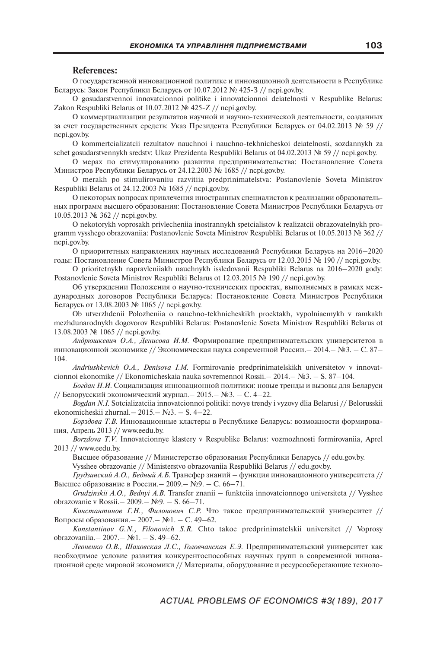## **References:**

О государственной инновационной политике и инновационной деятельности в Республике Беларусь: Закон Республики Беларусь от 10.07.2012 № 425-З // ncpi.gov.by.

O gosudarstvennoi innovatcionnoi politike i innovatcionnoi deiatelnosti v Respublike Belarus: Zakon Respubliki Belarus ot 10.07.2012 № 425-Z // ncpi.gov.by.

О коммерциализации результатов научной и научно-технической деятельности, созданных за счет государственных средств: Указ Президента Республики Беларусь от 04.02.2013 № 59 // ncpi.gov.by.

O kommertcializatcii rezultatov nauchnoi i nauchno-tekhnicheskoi deiatelnosti, sozdannykh za schet gosudarstvennykh sredstv: Ukaz Prezidenta Respubliki Belarus ot 04.02.2013 № 59 // ncpi.gov.by.

О мерах по стимулированию развития предпринимательства: Постановление Совета Министров Республики Беларусь от 24.12.2003 № 1685 // ncpi.gov.by.

O merakh po stimulirovaniiu razvitiia predprinimatelstva: Postanovlenie Soveta Ministrov Respubliki Belarus ot 24.12.2003 № 1685 // ncpi.gov.by.

О некоторых вопросах привлечения иностранных специалистов к реализации образовательных программ высшего образования: Постановление Совета Министров Республики Беларусь от 10.05.2013 № 362 // ncpi.gov.by.

O nekotorykh voprosakh privlecheniia inostrannykh spetcialistov k realizatcii obrazovatelnykh programm vysshego obrazovaniia: Postanovlenie Soveta Ministrov Respubliki Belarus ot 10.05.2013 № 362 // ncpi.gov.by.

О приоритетных направлениях научных исследований Республики Беларусь на 2016–2020 годы: Постановление Совета Министров Республики Беларусь от 12.03.2015 № 190 // ncpi.gov.by.

O prioritetnykh napravleniiakh nauchnykh issledovanii Respubliki Belarus na 2016–2020 gody: Postanovlenie Soveta Ministrov Respubliki Belarus ot 12.03.2015 № 190 // ncpi.gov.by.

Об утверждении Положения о научно-технических проектах, выполняемых в рамках международных договоров Республики Беларусь: Постановление Совета Министров Республики Беларусь от 13.08.2003 № 1065 // ncpi.gov.by.

Ob utverzhdenii Polozheniia o nauchno-tekhnicheskikh proektakh, vypolniaemykh v ramkakh mezhdunarodnykh dogovorov Respubliki Belarus: Postanovlenie Soveta Ministrov Respubliki Belarus ot 13.08.2003 № 1065 // ncpi.gov.by.

*Андрюшкевич О.А., Денисова И.М.* Формирование предпринимательских университетов в инновационной экономике // Экономическая наука современной России.– 2014.– №3. – С. 87– 104.

*Andriushkevich O.A., Denisova I.M.* Formirovanie predprinimatelskikh universitetov v innovatcionnoi ekonomike // Ekonomicheskaia nauka sovremennoi Rossii.– 2014.– №3. – S. 87–104.

*Богдан Н.И.* Социализация инновационной политики: новые тренды и вызовы для Беларуси // Белорусский экономический журнал.– 2015.– №3. – С. 4–22.

*Bogdan N.I.* Sotcializatciia innovatcionnoi politiki: novye trendy i vyzovy dlia Belarusi // Belorusskii ekonomicheskii zhurnal.– 2015.– №3. – S. 4–22.

*Борздова Т.В.* Инновационные кластеры в Республике Беларусь: возможности формирования, Апрель 2013 // www.eedu.by.

*Borzdova T.V.* Innovatcionnye klastery v Respublike Belarus: vozmozhnosti formirovaniia, Aprel 2013 // www.eedu.by.

Высшее образование // Министерство образования Республики Беларусь // edu.gov.by. Vysshee obrazovanie // Ministerstvo obrazovaniia Respubliki Belarus // edu.gov.by.

*Грудзинский А.О., Бедный А.Б.* Трансфер знаний – функция инновационного университета // Высшее образование в России.– 2009.– №9. – С. 66–71.

*Grudzinskii A.O., Bednyi A.B.* Transfer znanii – funktciia innovatcionnogo universiteta // Vysshee obrazovanie v Rossii.– 2009.– №9. – S. 66–71.

*Константинов Г.Н., Филонович С.Р.* Что такое предпринимательский университет // Вопросы образования.– 2007.– №1. – С. 49–62.

*Konstantinov G.N., Filonovich S.R.* Chto takoe predprinimatelskii universitet // Voprosy obrazovaniia.– 2007.– №1. – S. 49–62.

*Леоненко О.В., Шаховская Л.С., Головчанская Е.Э.* Предпринимательский университет как необходимое условие развития конкурентоспособных научных групп в современной инновационной среде мировой экономики // Материалы, оборудование и ресурсосберегающие техноло